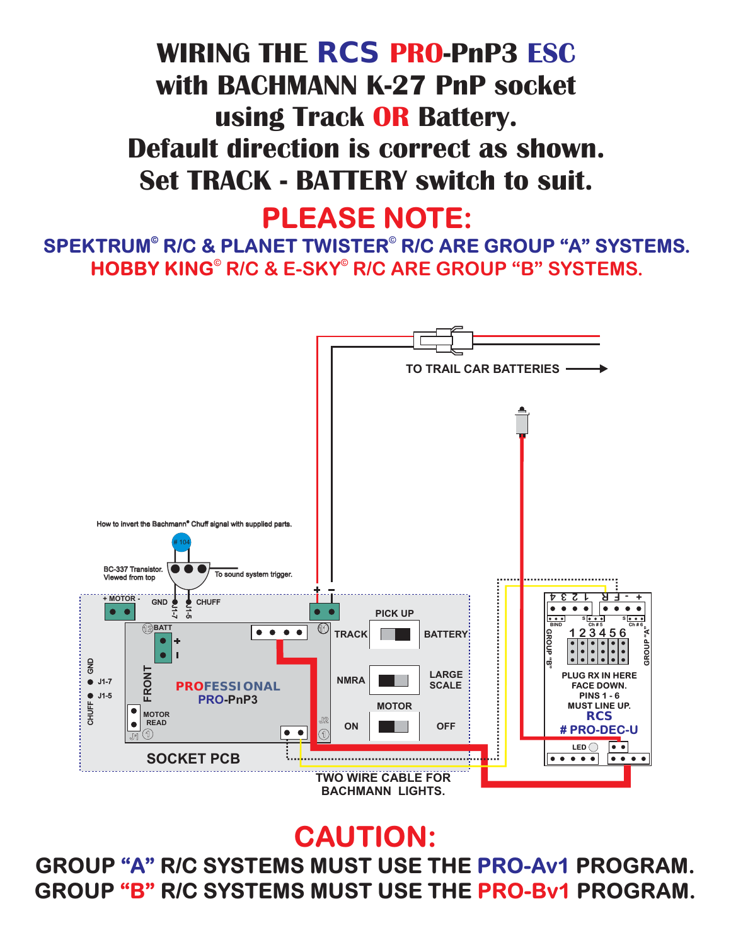## GROUP "B" R/C SYSTEMS MUST USE THE PRO-Bv1 PROGRAM. **GROUP "A" R/C SYSTEMS MUST USE THE PRO-Av1 PROGRAM.**

## **CAUTION:**



**PLEASE NOTE:**

**HOBBY KING© © R/C & E-SKY R/C ARE GROUP "B" SYSTEMS.** SPEKTRUM<sup>®</sup> R/C & PLANET TWISTER<sup>®</sup> R/C ARE GROUP "A" SYSTEMS.

**WIRING THE** *RCS* **PRO-PnP3 ESC with BACHMANN K-27 PnP socket using Track OR Battery. Default direction is correct as shown. Set TRACK - BATTERY switch to suit.**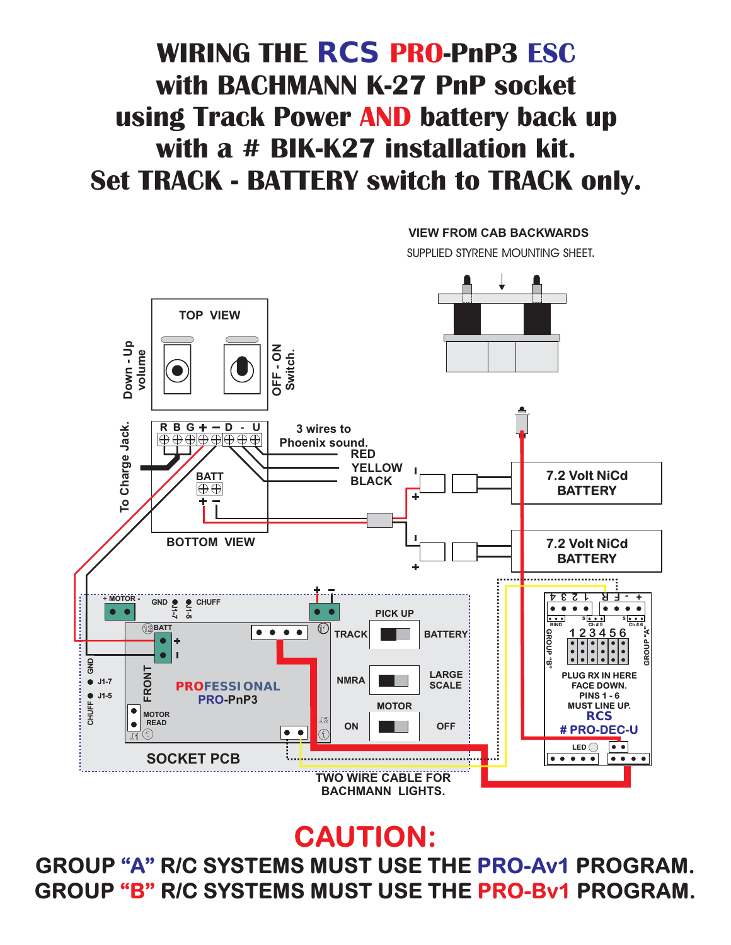#### **RBG D-U 3 wires to Phoenix sound. RED YELLOW**

**TOP VIEW**

**WIRING THE** *RCS* **PRO-PnP3 ESC with BACHMANN K-27 PnP socket** using Track Power AND battery back up **with a # BIK-K27 installation kit. Set TRACK - BATTERY switch to TRACK only.**

**VIEW FROM CAB BACKWARDS**

**SUPPLIED STYRENE MOUNTING SHEET.**



**CAUTION:**

#### GROUP "B" R/C SYSTEMS MUST USE THE PRO-Bv1 PROGRAM. **GROUP "A" R/C SYSTEMS MUST USE THE PRO-Av1 PROGRAM.**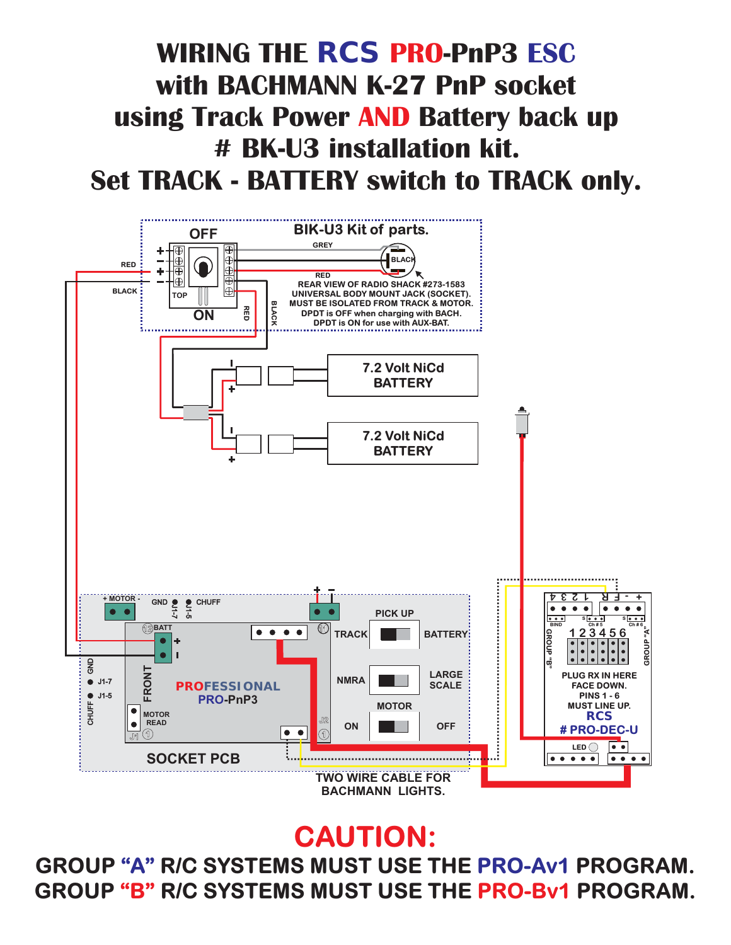## GROUP "B" R/C SYSTEMS MUST USE THE PRO-Bv1 PROGRAM. **GROUP "A" R/C SYSTEMS MUST USE THE PRO-Av1 PROGRAM.**

## **CAUTION:**



#### **WIRING THE** *RCS* **PRO-PnP3 ESC with BACHMANN K-27 PnP socket** using Track Power AND Battery back up **# BK-U3 installation kit. Set TRACK - BATTERY switch to TRACK only.**